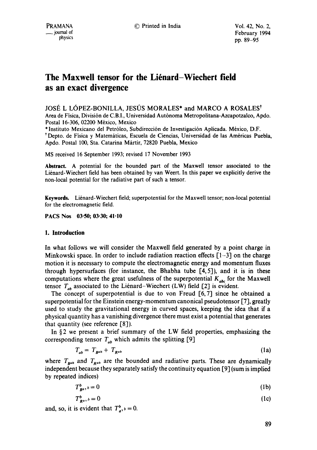# **The Maxwell tensor for the Liénard–Wiechert field as an exact divergence**

JOSÉ L LÓPEZ-BONILLA, JESÚS MORALES\* and MARCO A ROSALES<sup>†</sup> Area de Física, División de C.B.I., Universidad Autónoma Metropolitana-Azcapotzalco, Apdo. Postal 16-306, 02200 M6xico, Mexico

\* lnstituto Mexicano del Petr61eo, Subdirecci6n de lnvestigaci6n Aplicada. M6xico, D.F. <sup>†</sup> Depto. de Fisica y Matemáticas, Escuela de Ciencias, Universidad de las Américas Puebla, Apdo. Postal 100, Sta. Catarina Mártir, 72820 Puebla, Mexico

MS received 16 September 1993; revised 17 November 1993

Abstract. A potential for the bounded part of the Maxwell tensor associated to the Liénard-Wiechert field has been obtained by van Weert. In this paper we explicitly derive the non-local potential for the radiative part of such a tensor.

**Keywords.** Li6nard-Wiechert field; superpotential for the Maxwell tensor; non-local potential for the electromagnetic field.

**PACS Nos 03.50; 03.30; 41.10** 

## **1. Introduction**

In what follows we will consider the Maxwell field generated by a point charge in Minkowski space. In order to include radiation reaction effects  $[1-3]$  on the charge motion it is necessary to compute the electromagnetic energy and momentum fluxes through hypersurfaces (for instance, the Bhabha tube [4,5]), and it is in these computations where the great usefulness of the superpotential  $K_{abc}$  for the Maxwell tensor  $T_{ab}$  associated to the Liénard-Wiechert (LW) field [2] is evident.

The concept of superpotential is due to von Freud [6, 7] since he obtained a superpotential for the Einstein energy-momentum canonical pseudotensor [7], greatly used to study the gravitational energy in curved spaces, keeping the idea that if a physical quantity has a vanishing divergence there must exist a potential that generates that quantity (see reference [8]).

In  $\S$ 2 we present a brief summary of the LW field properties, emphasizing the corresponding tensor  $T_{ab}$  which admits the splitting [9]

$$
T_{ab} = T_{B^{ab}} + T_{R^{ab}} \tag{1a}
$$

where  $T_{\mathbf{B}^{ab}}$  and  $T_{\mathbf{R}^{ab}}$  are the bounded and radiative parts. These are dynamically independent because they separately satisfy the continuity equation [9] (sum is implied by repeated indices)

$$
T_{Ba}^b, b = 0 \tag{1b}
$$

$$
T_{Re}^b, b = 0 \tag{1c}
$$

and, so, it is evident that  $T_a^b$ ,  $b = 0$ .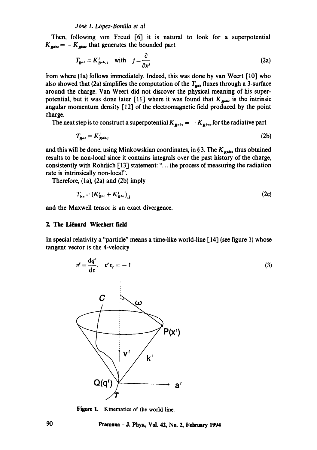#### *Jbsd L L6pez-Boniila et al*

Then, following yon Freud [6] it is natural to look for a superpotential  $K_{\text{gate}} = -K_{\text{Rate}}$  that generates the bounded part

$$
T_{\mathbf{B}^{ab}} = K_{\mathbf{B}^{ab},j}^j \quad \text{with} \quad j = \frac{\partial}{\partial x^j}
$$
 (2a)

from where (la) follows immediately. Indeed, this was done by van Wccrt [10] who also showed that (2a) simplifies the computation of the  $T_{\text{B}ab}$  fluxes through a 3-surface around the charge. Van Weert did not discover the physical meaning of his superpotential, but it was done later [11] where it was found that  $K_{\text{peak}}$  is the intrinsic angular momentum density [12] of the electromagnetic field produced by the point charge.

The next step is to construct a superpotential  $K_{R^{abc}} = -K_{R^{bac}}$  for the radiative part

$$
T_{R^{ab}} = K_{R^{ab,j}}^j \tag{2b}
$$

and this will be done, using Minkowskian coordinates, in § 3. The  $K_{\text{gate}}$  thus obtained results to be non-local since it contains integrals over the past history of the charge, consistently with Rohrlich [13] statement: "... the process of measuring the radiation rate is intrinsically non-local".

Therefore, (la), (2a) and (2b) imply

$$
T_{bc} = (K_{B^{bc}}^j + K_{R^{bc}}^j)_{,i} \tag{2c}
$$

and the Maxwell tensor is an exact divergence.

## **2. The Li6nard-Wiechert field**

In special relativity a "particle" means a time-like world-line [14] (see figure 1) whose tangent vector is the 4-velocity



Figure 1. Kinematics of the world line.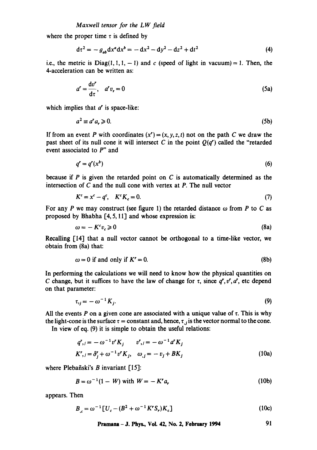where the proper time  $\tau$  is defined by

$$
d\tau^2 = -g_{ab}dx^a dx^b = -dx^2 - dy^2 - dz^2 + dt^2
$$
 (4)

i.e., the metric is  $Diag(1, 1, 1, -1)$  and c (speed of light in vacuum) = 1. Then, the 4-acceleration can be written as:

$$
a' = \frac{\mathrm{d}v'}{\mathrm{d}\tau}, \quad a'v_r = 0 \tag{5a}
$$

which implies that  $a^r$  is space-like:

$$
a^2 \equiv a^r a_r \geqslant 0. \tag{5b}
$$

If from an event P with coordinates  $(x') = (x, y, z, t)$  not on the path C we draw the past sheet of its null cone it will intersect C in the point  $Q(q^r)$  called the "retarded" event associated to P" and

$$
q^r = q^r(x^b) \tag{6}
$$

because if  $P$  is given the retarded point on  $C$  is automatically determined as the intersection of C and the null cone with vertex at P. The null vector

$$
K^c = x^c - q^c, \quad K^c K_c = 0. \tag{7}
$$

For any P we may construct (see figure 1) the retarded distance  $\omega$  from P to C as proposed by Bhabha [4, 5, 11] and whose expression is:

$$
\omega = -K^c v_c \geqslant 0 \tag{8a}
$$

Recalling [14] that a null vector cannot be orthogonal to a time-like vector, we obtain from (8a) that:

$$
\omega = 0 \text{ if and only if } K' = 0. \tag{8b}
$$

In performing the calculations we will need to know how the physical quantities on C change, but it suffices to have the law of change for  $\tau$ , since  $q^r, v^r, a^r$ , etc depend on that parameter:

$$
\tau_{ij} = -\omega^{-1} K_j. \tag{9}
$$

All the events P on a given cone are associated with a unique value of  $\tau$ . This is why the light-cone is the surface  $\tau$  = constant and, hence,  $\tau_{,j}$  is the vector normal to the cone.

In view of eq. (9) it is simple to obtain the useful relations:

$$
q^r_{\ j} = -\omega^{-1} v^r K_j \qquad v^r_{\ j} = -\omega^{-1} a^r K_j
$$
  

$$
K^r_{\ j} = \delta^r_j + \omega^{-1} v^r K_j, \quad \omega_{\ j} = -v_j + BK_j
$$
 (10a)

where Plebañski's  $B$  invariant  $[15]$ :

$$
B = \omega^{-1}(1 - W) \text{ with } W = -K^r a_r \tag{10b}
$$

appears. Then

$$
B_{c} = \omega^{-1} \left[ U_c - (B^2 + \omega^{-1} K^r S_r) K_c \right]
$$
 (10c)

$$
Pramana - J. Phys., Vol. 42, No. 2, February 1994 \t\t\t\t\t 91
$$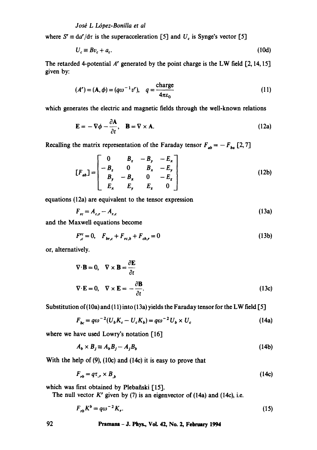## $José$  *L López-Bonilla et al*

where  $S' \equiv da'/d\tau$  is the superacceleration [5] and  $U_c$  is Synge's vector [5]

$$
U_c \equiv Bv_c + a_c. \tag{10d}
$$

The retarded 4-potential  $A'$  generated by the point charge is the LW field  $[2, 14, 15]$ given by:

$$
(A') = (\mathbf{A}, \phi) = (q\omega^{-1}v'), \quad q = \frac{\text{charge}}{4\pi\varepsilon_0} \tag{11}
$$

which generates the electric and magnetic fields through the well-known relations

$$
\mathbf{E} = -\nabla \phi - \frac{\partial \mathbf{A}}{\partial t}, \quad \mathbf{B} = \nabla \times \mathbf{A}.
$$
 (12a)

Recalling the matrix representation of the Faraday tensor  $F_{ab} = -F_{ba}$  [2,7]

$$
[F_{ab}] = \begin{bmatrix} 0 & B_z & -B_y & -E_x \\ -B_z & 0 & B_x & -E_y \\ B_y & -B_x & 0 & -E_z \\ E_x & E_y & E_z & 0 \end{bmatrix}
$$
 (12b)

equations (12a) are equivalent to the tensor expression

$$
F_{rc} = A_{c,r} - A_{r,c} \tag{13a}
$$

and the Maxwell equations become

$$
F_{,c}^{re} = 0, \quad F_{br,c} + F_{rc,b} + F_{cb,r} = 0 \tag{13b}
$$

or, alternatively.

$$
\nabla \cdot \mathbf{B} = 0, \quad \nabla \times \mathbf{B} = \frac{\partial \mathbf{E}}{\partial t}
$$
  

$$
\nabla \cdot \mathbf{E} = 0, \quad \nabla \times \mathbf{E} = -\frac{\partial \mathbf{B}}{\partial t}.
$$
 (13c)

Substitution of (10a) and (11) into (13a) yields the Faraday tensor for the LW field [5]

$$
F_{bc} = q\omega^{-2}(U_b K_c - U_c K_b) = q\omega^{-2} U_b \times U_c
$$
\n(14a)

where we have used Lowry's notation [16]

$$
A_b \times B_j \equiv A_b B_j - A_j B_b \tag{14b}
$$

With the help of  $(9)$ ,  $(10c)$  and  $(14c)$  it is easy to prove that

$$
F_{rb} = q\tau_{,r} \times B_{,b} \tag{14c}
$$

which was first obtained by Plebañski [15].

The null vector  $K'$  given by (7) is an eigenvector of (14a) and (14c), i.e.

$$
F_{rb}K^b = q\omega^{-2}K_r.
$$
 (15)

## **92 Pramana - J. Phys., VoL 42, No. 2, February 1994**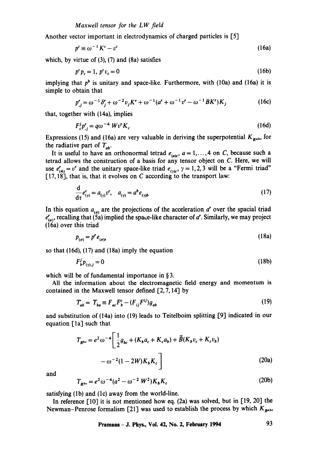Another vector important in electrodynamics of charged particles is [5]

$$
p^c \equiv \omega^{-1} K^c - v^c \tag{16a}
$$

which, by virtue of  $(3)$ ,  $(7)$  and  $(8a)$  satisfies

$$
p^c p_c = 1, \ p^c v_c = 0 \tag{16b}
$$

implying that  $p<sup>b</sup>$  is unitary and space-like. Furthermore, with (10a) and (16a) it is simple to obtain that

$$
p'_{,j} = \omega^{-1} \delta_j^r + \omega^{-2} v_j K^r + \omega^{-1} (a^r + \omega^{-1} v^r - \omega^{-1} B K^r) K_j
$$
 (16c)

that, together with (14a), implies

$$
F_c^j p'_j = q\omega^{-4} W v' K_c \tag{16d}
$$

Expressions (15) and (16a) are very valuable in deriving the superpotential  $K_{\text{R}^{abc}}$  for the radiative part of  $T_{ab}$ .

It is useful to have an orthonormal tetrad  $e_{(abc)}$ ,  $a = 1, \ldots, 4$  on C, because such a tetrad allows the construction of a basis for any tensor object on C. Here, we will use  $e'_{(4)} = v'$  and the unitary space-like triad  $e_{(1)}$ ,  $\gamma = 1, 2, 3$  will be a "Fermi triad"  $[17, 18]$ , that is, that it evolves on C according to the transport law:

$$
\frac{d}{d\tau}e_{(\gamma)}^c = a_{(\gamma)}v^c, \quad a_{(\gamma)} = a^b e_{(\gamma)b}
$$
 (17)

In this equation  $a_{(q)}$  are the projections of the acceleration  $a^r$  over the spacial triad  $e'_{(\sigma)}$ , recalling that (5a) implied the space-like character of a'. Similarly, we may project (16a) over this triad

$$
p_{(a)} = p^r e_{(a)r} \tag{18a}
$$

so that (16d), (17) and (18a) imply the equation

$$
F_b^j p_{(v),j} = 0 \tag{18b}
$$

which will be of fundamental importance in § 3.

All the information about the electromagnetic field energy and momentum is contained in the Maxwell tensor defined [2, 7, 14] by

$$
T_{ab} = T_{ba} \equiv F_{ac} F_b^c - (F_{ij} F^{ij}) g_{ab}
$$
 (19)

and substitution of (14a) into (19) leads to Teitelboim splitting [9] indicated in our equation  $\lceil 1a \rceil$  such that

$$
T_{B^{bc}} = e^2 \omega^{-4} \left[ \frac{1}{2} g_{bc} + (K_b a_c + K_c a_b) + \tilde{B}(K_b v_c + K_c v_b) - \omega^{-2} (1 - 2W) K_b K_c \right]
$$
 (20a)

and

$$
T_{R^{bc}} = e^2 \omega^{-4} (a^2 - \omega^{-2} W^2) K_b K_c
$$
 (20b)

satisfying (lb) and (lc) away from the world-line.

In reference  $\lceil 10 \rceil$  it is not mentioned how eq. (2a) was solved, but in [19, 20] the Newman-Penrose formalism [21] was used to establish the process by which  $K_{\text{gate}}$ 

**Pramana - J. Phys., Vol. 42, No. 2, February** 1994 93

 $\sim$   $\sim$   $\sim$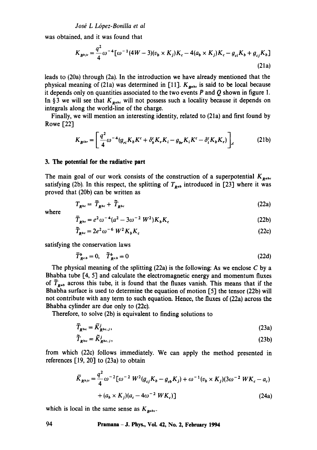*Josd L L6pez-Bonilla et al* 

was obtained, and it was found that

$$
K_{B^{bjc}} = \frac{q^2}{4} \omega^{-4} [\omega^{-1} (4W - 3)(v_b \times K_j) K_c - 4(a_b \times K_j) K_c - g_{ci} K_b + g_{cj} K_b]
$$
\n(21a)

leads to (20a) through (2a). In the introduction we have already mentioned that the physical meaning of (21a) was determined in [11].  $K_{\text{pabs}}$  is said to be local because it depends only on quantities associated to the two events  $P$  and  $Q$  shown in figure 1. In § 3 we will see that  $K_{\text{gate}}$  will not possess such a locality because it depends on integrals along the world-line of the charge.

Finally, we will mention an interesting identity, related to (21a) and first found by Rowe [22]

$$
K_{\mathbf{B}^{ibr}} = \left[\frac{q^2}{4}\omega^{-4}(g_{ri}K_bK^c + \delta_b^cK_rK_i - g_{br}K_iK^c - \delta_i^cK_bK_r)\right]_{,c} \tag{21b}
$$

## **3. The potential for the radiative part**

The main goal of our work consists of the construction of a superpotential  $K_{R^{abc}}$ satisfying (2b). In this respect, the splitting of  $T_{R^{ab}}$  introduced in [23] where it was proved that (20b) can be written as

$$
T_{R^{bc}} = \overline{T}_{R^{bc}} + \widetilde{T}_{R^{bc}}
$$
 (22a)

where

$$
\overline{T}_{R^{bc}} = e^2 \omega^{-4} (a^2 - 3\omega^{-2} W^2) K_b K_c
$$
 (22b)

$$
\widetilde{T}_{R^{bc}} = 2e^2 \omega^{-6} W^2 K_b K_c \tag{22c}
$$

satisfying the conservation laws

$$
\overline{T}_{R^{c,b}}^b = 0, \quad \widetilde{T}_{R^{c,b}}^b = 0 \tag{22d}
$$

The physical meaning of the splitting  $(22a)$  is the following: As we enclose C by a Bhabha tube [4, 5] and calculate the electromagnetic energy and momentum fluxes of  $\overline{T}_{R^{ab}}$  across this tube, it is found that the fluxes vanish. This means that if the Bhabha surface is used to determine the equation of motion [5] the tensor (22b) will not contribute with any term to such equation. Hence, the fluxes of (22a) across the Bhabha cylinder are due only to (22c).

Therefore, to solve (2b) is equivalent to finding solutions to

$$
\overline{T}_{R^{bc}} = \overline{K}_{R^{bc},j}^{j},\tag{23a}
$$

$$
\widetilde{T}_{R^{bc}} = \widetilde{K}_{R^{bc},j}^{j},\tag{23b}
$$

from which (22c) follows immediately. We can apply the method presented in references  $[19, 20]$  to  $(23a)$  to obtain

$$
\bar{K}_{R^{bjc}} = \frac{q^2}{4} \omega^{-2} [\omega^{-2} W^2 (g_{cj} K_b - g_{cb} K_j) + \omega^{-1} (v_b \times K_j) (3 \omega^{-2} W K_c - a_c)
$$
  
+  $(a_b \times K_j) (a_c - 4 \omega^{-2} W K_c)]$  (24a)

which is local in the same sense as  $K_{\text{pabc}}$ .

## **94 Pramana -J. Phys., Vol. 42, No. 2, February 1994**